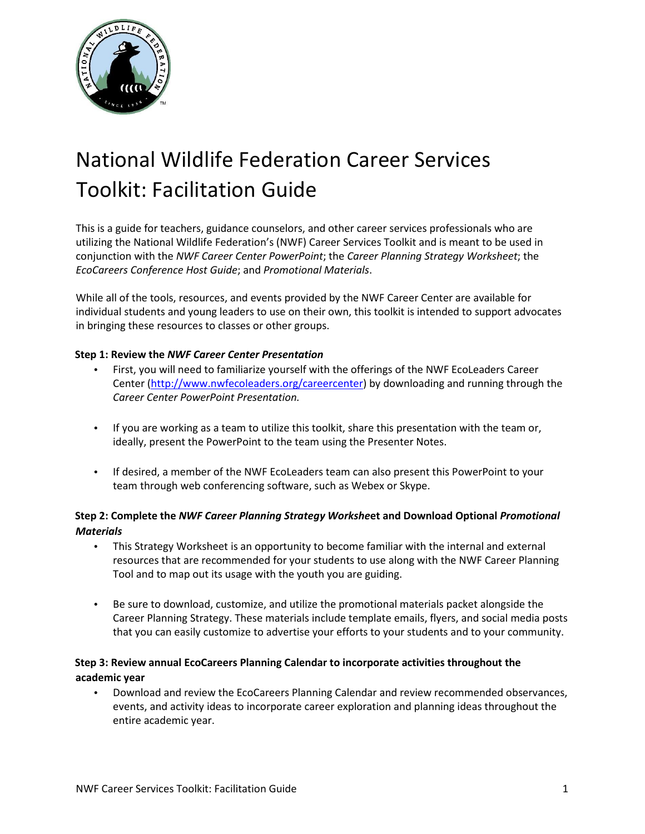

# National Wildlife Federation Career Services Toolkit: Facilitation Guide

This is a guide for teachers, guidance counselors, and other career services professionals who are utilizing the National Wildlife Federation's (NWF) Career Services Toolkit and is meant to be used in conjunction with the *NWF Career Center PowerPoint*; the *Career Planning Strategy Worksheet*; the *EcoCareers Conference Host Guide*; and *Promotional Materials*.

While all of the tools, resources, and events provided by the NWF Career Center are available for individual students and young leaders to use on their own, this toolkit is intended to support advocates in bringing these resources to classes or other groups.

#### **Step 1: Review the** *NWF Career Center Presentation*

- First, you will need to familiarize yourself with the offerings of the NWF EcoLeaders Career Center [\(http://www.nwfecoleaders.org/careercenter\)](http://www.nwfecoleaders.org/careercenter) by downloading and running through the *Career Center PowerPoint Presentation.*
- If you are working as a team to utilize this toolkit, share this presentation with the team or, ideally, present the PowerPoint to the team using the Presenter Notes.
- If desired, a member of the NWF EcoLeaders team can also present this PowerPoint to your team through web conferencing software, such as Webex or Skype.

# **Step 2: Complete the** *NWF Career Planning Strategy Workshe***et and Download Optional** *Promotional Materials*

- This Strategy Worksheet is an opportunity to become familiar with the internal and external resources that are recommended for your students to use along with the NWF Career Planning Tool and to map out its usage with the youth you are guiding.
- Be sure to download, customize, and utilize the promotional materials packet alongside the Career Planning Strategy. These materials include template emails, flyers, and social media posts that you can easily customize to advertise your efforts to your students and to your community.

## **Step 3: Review annual EcoCareers Planning Calendar to incorporate activities throughout the academic year**

• Download and review the EcoCareers Planning Calendar and review recommended observances, events, and activity ideas to incorporate career exploration and planning ideas throughout the entire academic year.